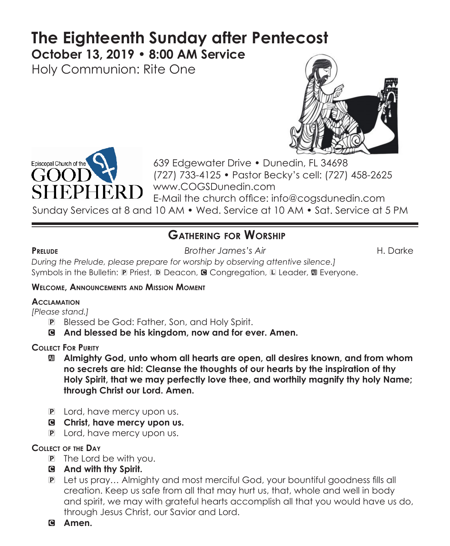# **The Eighteenth Sunday after Pentecost October 13, 2019 • 8:00 AM Service**

Holy Communion: Rite One





639 Edgewater Drive • Dunedin, FL 34698 (727) 733-4125 • Pastor Becky's cell: (727) 458-2625 HEPHERD Www.COGSDunedin.com E-Mail the church office: info@cogsdunedin.com

Sunday Services at 8 and 10 AM • Wed. Service at 10 AM • Sat. Service at 5 PM

## **Gathering for Worship**

**Prelude Brother James's Air Brother James's Air H. Darke** 

*During the Prelude, please prepare for worship by observing attentive silence.]* Symbols in the Bulletin: P Priest, D Deacon, **G** Congregation, L Leader, **M** Everyone.

#### **Welcome, Announcements and Mission Moment**

#### **Acclamation**

*[Please stand.]* 

- P Blessed be God: Father, Son, and Holy Spirit.
- C **And blessed be his kingdom, now and for ever. Amen.**

#### **Collect For Purity**

- a **Almighty God, unto whom all hearts are open, all desires known, and from whom no secrets are hid: Cleanse the thoughts of our hearts by the inspiration of thy Holy Spirit, that we may perfectly love thee, and worthily magnify thy holy Name; through Christ our Lord. Amen.**
- **P** Lord, have mercy upon us.
- C **Christ, have mercy upon us.**
- P Lord, have mercy upon us.

#### **Collect of the Day**

- P The Lord be with you.
- C **And with thy Spirit.**
- P Let us pray... Almighty and most merciful God, your bountiful goodness fills all creation. Keep us safe from all that may hurt us, that, whole and well in body and spirit, we may with grateful hearts accomplish all that you would have us do, through Jesus Christ, our Savior and Lord.
- C **Amen.**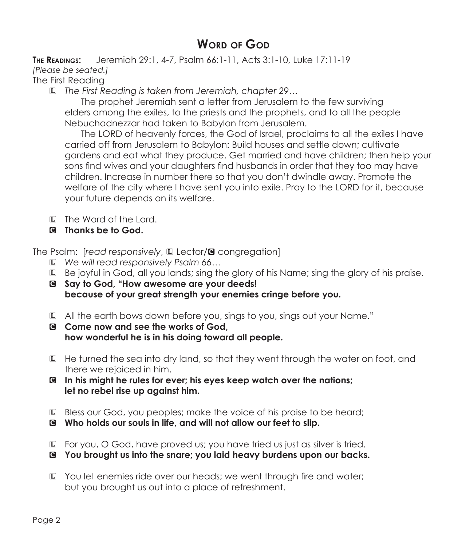## **WORD OF GOD**

**The Readings:** Jeremiah 29:1, 4-7, Psalm 66:1-11, Acts 3:1-10, Luke 17:11-19 *[Please be seated.]*

The First Reading

L *The First Reading is taken from Jeremiah, chapter 29…*

 The prophet Jeremiah sent a letter from Jerusalem to the few surviving elders among the exiles, to the priests and the prophets, and to all the people Nebuchadnezzar had taken to Babylon from Jerusalem.

 The LORD of heavenly forces, the God of Israel, proclaims to all the exiles I have carried off from Jerusalem to Babylon: Build houses and settle down; cultivate gardens and eat what they produce. Get married and have children; then help your sons find wives and your daughters find husbands in order that they too may have children. Increase in number there so that you don't dwindle away. Promote the welfare of the city where I have sent you into exile. Pray to the LORD for it, because your future depends on its welfare.

- L The Word of the Lord.
- C **Thanks be to God.**

The Psalm: [*read responsively*, **L** Lector/**G** congregation]

- L *We will read responsively Psalm 66…*
- L Be joyful in God, all you lands; sing the glory of his Name; sing the glory of his praise.
- C **Say to God, "How awesome are your deeds! because of your great strength your enemies cringe before you.**
- L All the earth bows down before you, sings to you, sings out your Name."
- C **Come now and see the works of God, how wonderful he is in his doing toward all people.**
- L He turned the sea into dry land, so that they went through the water on foot, and there we rejoiced in him.
- C **In his might he rules for ever; his eyes keep watch over the nations; let no rebel rise up against him.**
- L Bless our God, you peoples; make the voice of his praise to be heard;
- C **Who holds our souls in life, and will not allow our feet to slip.**
- L For you, O God, have proved us; you have tried us just as silver is tried.
- C **You brought us into the snare; you laid heavy burdens upon our backs.**
- L You let enemies ride over our heads; we went through fire and water; but you brought us out into a place of refreshment.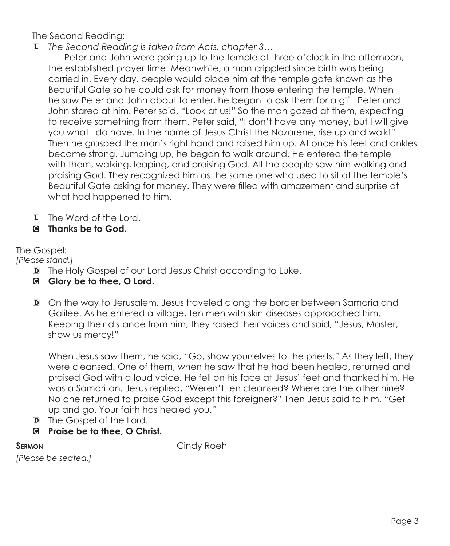The Second Reading:

L *The Second Reading is taken from Acts, chapter 3…*

 Peter and John were going up to the temple at three o'clock in the afternoon, the established prayer time. Meanwhile, a man crippled since birth was being carried in. Every day, people would place him at the temple gate known as the Beautiful Gate so he could ask for money from those entering the temple. When he saw Peter and John about to enter, he began to ask them for a gift. Peter and John stared at him. Peter said, "Look at us!" So the man gazed at them, expecting to receive something from them. Peter said, "I don't have any money, but I will give you what I do have. In the name of Jesus Christ the Nazarene, rise up and walk!" Then he grasped the man's right hand and raised him up. At once his feet and ankles became strong. Jumping up, he began to walk around. He entered the temple with them, walking, leaping, and praising God. All the people saw him walking and praising God. They recognized him as the same one who used to sit at the temple's Beautiful Gate asking for money. They were filled with amazement and surprise at what had happened to him.

- L The Word of the Lord.
- C **Thanks be to God.**

### The Gospel:

*[Please stand.]*

- D The Holy Gospel of our Lord Jesus Christ according to Luke.
- C **Glory be to thee, O Lord.**
- D On the way to Jerusalem, Jesus traveled along the border between Samaria and Galilee. As he entered a village, ten men with skin diseases approached him. Keeping their distance from him, they raised their voices and said, "Jesus, Master, show us mercy!"

 When Jesus saw them, he said, "Go, show yourselves to the priests." As they left, they were cleansed. One of them, when he saw that he had been healed, returned and praised God with a loud voice. He fell on his face at Jesus' feet and thanked him. He was a Samaritan. Jesus replied, "Weren't ten cleansed? Where are the other nine? No one returned to praise God except this foreigner?" Then Jesus said to him, "Get up and go. Your faith has healed you."

- D The Gospel of the Lord.
- C **Praise be to thee, O Christ.**

**SERMON** Cindy Roehl

*[Please be seated.]*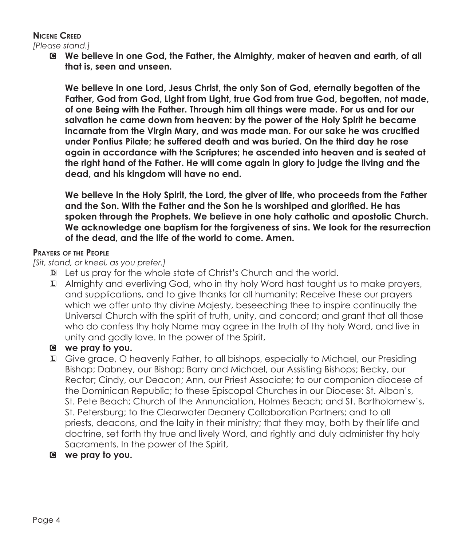### **Nicene Creed**

*[Please stand.]*

C **We believe in one God, the Father, the Almighty, maker of heaven and earth, of all that is, seen and unseen.** 

 **We believe in one Lord, Jesus Christ, the only Son of God, eternally begotten of the Father, God from God, Light from Light, true God from true God, begotten, not made, of one Being with the Father. Through him all things were made. For us and for our salvation he came down from heaven: by the power of the Holy Spirit he became incarnate from the Virgin Mary, and was made man. For our sake he was crucified under Pontius Pilate; he suffered death and was buried. On the third day he rose again in accordance with the Scriptures; he ascended into heaven and is seated at the right hand of the Father. He will come again in glory to judge the living and the dead, and his kingdom will have no end.**

 **We believe in the Holy Spirit, the Lord, the giver of life, who proceeds from the Father and the Son. With the Father and the Son he is worshiped and glorified. He has spoken through the Prophets. We believe in one holy catholic and apostolic Church. We acknowledge one baptism for the forgiveness of sins. We look for the resurrection of the dead, and the life of the world to come. Amen.**

#### **Prayers of the People**

*[Sit, stand, or kneel, as you prefer.]*

- D Let us pray for the whole state of Christ's Church and the world.
- L Almighty and everliving God, who in thy holy Word hast taught us to make prayers, and supplications, and to give thanks for all humanity: Receive these our prayers which we offer unto thy divine Majesty, beseeching thee to inspire continually the Universal Church with the spirit of truth, unity, and concord; and grant that all those who do confess thy holy Name may agree in the truth of thy holy Word, and live in unity and godly love. In the power of the Spirit,

#### C **we pray to you.**

- L Give grace, O heavenly Father, to all bishops, especially to Michael, our Presiding Bishop; Dabney, our Bishop; Barry and Michael, our Assisting Bishops; Becky, our Rector; Cindy, our Deacon; Ann, our Priest Associate; to our companion diocese of the Dominican Republic; to these Episcopal Churches in our Diocese: St. Alban's, St. Pete Beach; Church of the Annunciation, Holmes Beach; and St. Bartholomew's, St. Petersburg; to the Clearwater Deanery Collaboration Partners; and to all priests, deacons, and the laity in their ministry; that they may, both by their life and doctrine, set forth thy true and lively Word, and rightly and duly administer thy holy Sacraments. In the power of the Spirit,
- C **we pray to you.**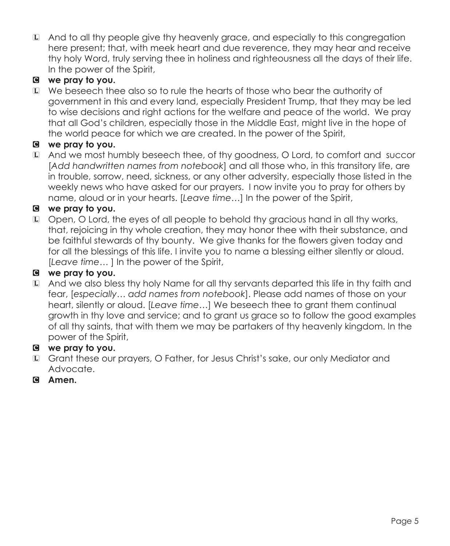L And to all thy people give thy heavenly grace, and especially to this congregation here present; that, with meek heart and due reverence, they may hear and receive thy holy Word, truly serving thee in holiness and righteousness all the days of their life. In the power of the Spirit,

### C **we pray to you.**

L We beseech thee also so to rule the hearts of those who bear the authority of government in this and every land, especially President Trump, that they may be led to wise decisions and right actions for the welfare and peace of the world. We pray that all God's children, especially those in the Middle East, might live in the hope of the world peace for which we are created. In the power of the Spirit,

#### C **we pray to you.**

L And we most humbly beseech thee, of thy goodness, O Lord, to comfort and succor [*Add handwritten names from notebook*] and all those who, in this transitory life, are in trouble, sorrow, need, sickness, or any other adversity, especially those listed in the weekly news who have asked for our prayers. I now invite you to pray for others by name, aloud or in your hearts. [*Leave time…*] In the power of the Spirit,

#### C **we pray to you.**

L Open, O Lord, the eyes of all people to behold thy gracious hand in all thy works, that, rejoicing in thy whole creation, they may honor thee with their substance, and be faithful stewards of thy bounty. We give thanks for the flowers given today and for all the blessings of this life. I invite you to name a blessing either silently or aloud. [*Leave time…* ] In the power of the Spirit,

#### C **we pray to you.**

L And we also bless thy holy Name for all thy servants departed this life in thy faith and fear, [*especially… add names from notebook*]. Please add names of those on your heart, silently or aloud. [*Leave time…*] We beseech thee to grant them continual growth in thy love and service; and to grant us grace so to follow the good examples of all thy saints, that with them we may be partakers of thy heavenly kingdom. In the power of the Spirit,

#### C **we pray to you.**

- L Grant these our prayers, O Father, for Jesus Christ's sake, our only Mediator and Advocate.
- C **Amen.**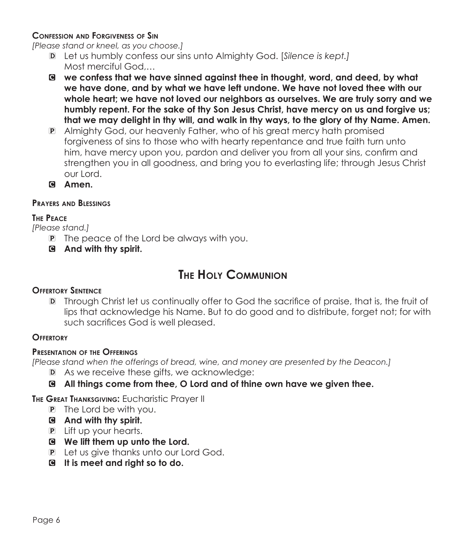#### **Confession and Forgiveness of Sin**

*[Please stand or kneel, as you choose.]*

- D Let us humbly confess our sins unto Almighty God. [*Silence is kept.]* Most merciful God,*…*
- C **we confess that we have sinned against thee in thought, word, and deed, by what we have done, and by what we have left undone. We have not loved thee with our whole heart; we have not loved our neighbors as ourselves. We are truly sorry and we humbly repent. For the sake of thy Son Jesus Christ, have mercy on us and forgive us; that we may delight in thy will, and walk in thy ways, to the glory of thy Name. Amen.**
- P Almighty God, our heavenly Father, who of his great mercy hath promised forgiveness of sins to those who with hearty repentance and true faith turn unto him, have mercy upon you, pardon and deliver you from all your sins, confirm and strengthen you in all goodness, and bring you to everlasting life; through Jesus Christ our Lord.
- C **Amen.**

#### **Prayers and Blessings**

#### **The Peace**

*[Please stand.]*

- P The peace of the Lord be always with you.
- C **And with thy spirit.**

## **The Holy Communion**

#### **Offertory Sentence**

D Through Christ let us continually offer to God the sacrifice of praise, that is, the fruit of lips that acknowledge his Name. But to do good and to distribute, forget not; for with such sacrifices God is well pleased.

#### **Offertory**

#### **Presentation of the Offerings**

*[Please stand when the offerings of bread, wine, and money are presented by the Deacon.]*

D As we receive these gifts, we acknowledge:

C **All things come from thee, O Lord and of thine own have we given thee.**

**THE GREAT THANKSGIVING: EUCharistic Prayer II** 

- P The Lord be with you.
- C **And with thy spirit.**
- P Lift up your hearts.
- C **We lift them up unto the Lord.**
- P Let us give thanks unto our Lord God.
- C **It is meet and right so to do.**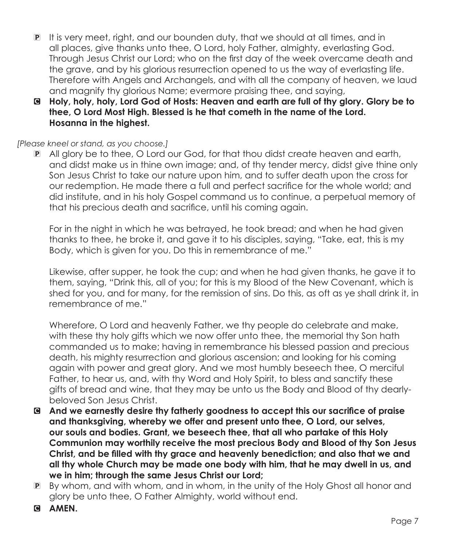- P It is very meet, right, and our bounden duty, that we should at all times, and in all places, give thanks unto thee, O Lord, holy Father, almighty, everlasting God. Through Jesus Christ our Lord; who on the first day of the week overcame death and the grave, and by his glorious resurrection opened to us the way of everlasting life. Therefore with Angels and Archangels, and with all the company of heaven, we laud and magnify thy glorious Name; evermore praising thee, and saying,
- C **Holy, holy, holy, Lord God of Hosts: Heaven and earth are full of thy glory. Glory be to thee, O Lord Most High. Blessed is he that cometh in the name of the Lord. Hosanna in the highest.**

#### *[Please kneel or stand, as you choose.]*

P All glory be to thee, O Lord our God, for that thou didst create heaven and earth, and didst make us in thine own image; and, of thy tender mercy, didst give thine only Son Jesus Christ to take our nature upon him, and to suffer death upon the cross for our redemption. He made there a full and perfect sacrifice for the whole world; and did institute, and in his holy Gospel command us to continue, a perpetual memory of that his precious death and sacrifice, until his coming again.

For in the night in which he was betrayed, he took bread; and when he had given thanks to thee, he broke it, and gave it to his disciples, saying, "Take, eat, this is my Body, which is given for you. Do this in remembrance of me."

 Likewise, after supper, he took the cup; and when he had given thanks, he gave it to them, saying, "Drink this, all of you; for this is my Blood of the New Covenant, which is shed for you, and for many, for the remission of sins. Do this, as oft as ye shall drink it, in remembrance of me."

 Wherefore, O Lord and heavenly Father, we thy people do celebrate and make, with these thy holy gifts which we now offer unto thee, the memorial thy Son hath commanded us to make; having in remembrance his blessed passion and precious death, his mighty resurrection and glorious ascension; and looking for his coming again with power and great glory. And we most humbly beseech thee, O merciful Father, to hear us, and, with thy Word and Holy Spirit, to bless and sanctify these gifts of bread and wine, that they may be unto us the Body and Blood of thy dearlybeloved Son Jesus Christ.

- C **And we earnestly desire thy fatherly goodness to accept this our sacrifice of praise and thanksgiving, whereby we offer and present unto thee, O Lord, our selves, our souls and bodies. Grant, we beseech thee, that all who partake of this Holy Communion may worthily receive the most precious Body and Blood of thy Son Jesus Christ, and be filled with thy grace and heavenly benediction; and also that we and all thy whole Church may be made one body with him, that he may dwell in us, and we in him; through the same Jesus Christ our Lord;**
- P By whom, and with whom, and in whom, in the unity of the Holy Ghost all honor and glory be unto thee, O Father Almighty, world without end.
- C **AMEN.**